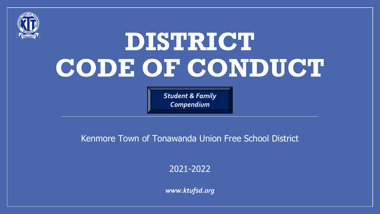

# **DISTRICT CODE OF CONDUCT**

*Student & Family Compendium*

## Kenmore Town of Tonawanda Union Free School District

2021-2022

*www.ktufsd.org*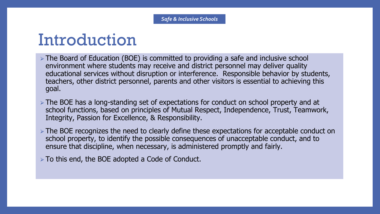## Introduction

- ⮚ The Board of Education (BOE) is committed to providing a safe and inclusive school environment where students may receive and district personnel may deliver quality educational services without disruption or interference. Responsible behavior by students, teachers, other district personnel, parents and other visitors is essential to achieving this goal.
- ⮚ The BOE has a long-standing set of expectations for conduct on school property and at school functions, based on principles of Mutual Respect, Independence, Trust, Teamwork, Integrity, Passion for Excellence, & Responsibility.
- ⮚ The BOE recognizes the need to clearly define these expectations for acceptable conduct on school property, to identify the possible consequences of unacceptable conduct, and to ensure that discipline, when necessary, is administered promptly and fairly.
- $\triangleright$  To this end, the BOE adopted a Code of Conduct.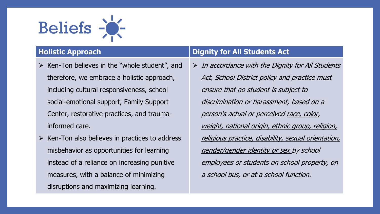

- $\triangleright$  Ken-Ton believes in the "whole student", and therefore, we embrace a holistic approach, including cultural responsiveness, school social-emotional support, Family Support Center, restorative practices, and traumainformed care.
- $\triangleright$  Ken-Ton also believes in practices to address misbehavior as opportunities for learning instead of a reliance on increasing punitive measures, with a balance of minimizing disruptions and maximizing learning.

### **Holistic Approach Dignity for All Students Act**

 $\triangleright$  In accordance with the Dignity for All Students Act, School District policy and practice must ensure that no student is subject to discrimination or harassment, based on a person's actual or perceived race, color, weight, national origin, ethnic group, religion, religious practice, disability, sexual orientation, gender/gender identity or sex by school employees or students on school property, on a school bus, or at a school function.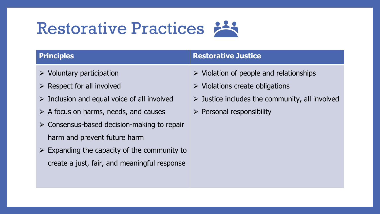# Restorative Practices

- $\triangleright$  Voluntary participation
- $\triangleright$  Respect for all involved
- $\triangleright$  Inclusion and equal voice of all involved
- $\triangleright$  A focus on harms, needs, and causes
- $\triangleright$  Consensus-based decision-making to repair harm and prevent future harm
- $\triangleright$  Expanding the capacity of the community to create a just, fair, and meaningful response

### **Principles Restorative Justice**

- $\triangleright$  Violation of people and relationships
- $\triangleright$  Violations create obligations
- $\triangleright$  Justice includes the community, all involved
- $\triangleright$  Personal responsibility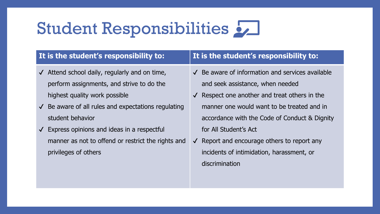# Student Responsibilities

## **It is the student's responsibility to: It is the student's responsibility to:**

- $\sqrt{\phantom{a}}$  Attend school daily, regularly and on time, perform assignments, and strive to do the highest quality work possible
- $\sqrt{\ }$  Be aware of all rules and expectations regulating student behavior
- $\checkmark$  Express opinions and ideas in a respectful manner as not to offend or restrict the rights and privileges of others

- $\sqrt{\phantom{a}}$  Be aware of information and services available and seek assistance, when needed
- $\checkmark$  Respect one another and treat others in the manner one would want to be treated and in accordance with the Code of Conduct & Dignity for All Student's Act
- ✔ Report and encourage others to report any incidents of intimidation, harassment, or discrimination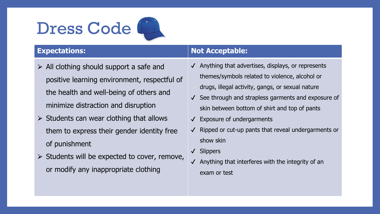# Dress Code<sup></sup>



- $\triangleright$  All clothing should support a safe and positive learning environment, respectful of the health and well-being of others and minimize distraction and disruption
- $\triangleright$  Students can wear clothing that allows them to express their gender identity free of punishment
- $\triangleright$  Students will be expected to cover, remove, or modify any inappropriate clothing

## **Expectations: Not Acceptable:**

- $\sqrt{\phantom{a}}$  Anything that advertises, displays, or represents themes/symbols related to violence, alcohol or drugs, illegal activity, gangs, or sexual nature
- ✔ See through and strapless garments and exposure of skin between bottom of shirt and top of pants
- ✔ Exposure of undergarments
- ✔ Ripped or cut-up pants that reveal undergarments or show skin
- ✔ Slippers
- $\sqrt{\phantom{a}}$  Anything that interferes with the integrity of an exam or test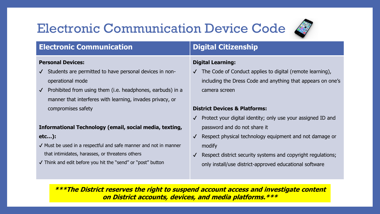## Electronic Communication Device Code



## **Electronic Communication Digital Citizenship**

### **Personal Devices:**

- ✔ Students are permitted to have personal devices in nonoperational mode
- $\sqrt{\phantom{a}}$  Prohibited from using them (i.e. headphones, earbuds) in a manner that interferes with learning, invades privacy, or compromises safety

### **Informational Technology (email, social media, texting, etc…):**

- ✔ Must be used in a respectful and safe manner and not in manner that intimidates, harasses, or threatens others
- ✔ Think and edit before you hit the "send" or "post" button

### **Digital Learning:**

✔ The Code of Conduct applies to digital (remote learning), including the Dress Code and anything that appears on one's camera screen

### **District Devices & Platforms:**

- Protect your digital identity; only use your assigned ID and password and do not share it
- Respect physical technology equipment and not damage or modify
- Respect district security systems and copyright regulations; only install/use district-approved educational software

**\*\*\*The District reserves the right to suspend account access and investigate content on District accounts, devices, and media platforms.\*\*\***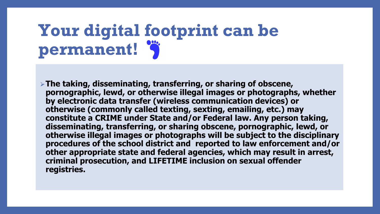# **Your digital footprint can be permanent!**

⮚**The taking, disseminating, transferring, or sharing of obscene, pornographic, lewd, or otherwise illegal images or photographs, whether by electronic data transfer (wireless communication devices) or otherwise (commonly called texting, sexting, emailing, etc.) may constitute a CRIME under State and/or Federal law. Any person taking, disseminating, transferring, or sharing obscene, pornographic, lewd, or otherwise illegal images or photographs will be subject to the disciplinary procedures of the school district and reported to law enforcement and/or other appropriate state and federal agencies, which may result in arrest, criminal prosecution, and LIFETIME inclusion on sexual offender registries.**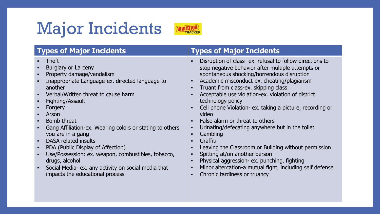# Major Incidents



## **Types of Major Incidents Types of Major Incidents**

- Theft
- Burglary or Larceny
- Property damage/vandalism
- Inappropriate Language-ex. directed language to another
- Verbal/Written threat to cause harm
- Fighting/Assault
- Forgery
- Arson
- Bomb threat
- Gang Affiliation-ex. Wearing colors or stating to others you are in a gang
- DASA related insults
- PDA (Public Display of Affection)
- Use/Possession: ex. weapon, combustibles, tobacco, drugs, alcohol
- Social Media- ex. any activity on social media that impacts the educational process

- Disruption of class- ex. refusal to follow directions to stop negative behavior after multiple attempts or spontaneous shocking/horrendous disruption
- Academic misconduct-ex. cheating/plagiarism
- Truant from class-ex. skipping class
- Acceptable use violation-ex. violation of district technology policy
- Cell phone Violation- ex. taking a picture, recording or video
- Ealse alarm or threat to others
- Urinating/defecating anywhere but in the toilet
- **Gambling**
- **Graffiti**
- Leaving the Classroom or Building without permission
- Spitting at/on another person
- Physical aggression- ex. punching, fighting
- Minor altercation-a mutual fight, including self defense
- Chronic tardiness or truancy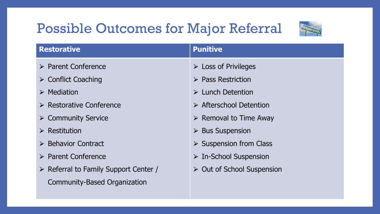## Possible Outcomes for Major Referral



| <b>Restorative</b>                                   | <b>Punitive</b>                           |
|------------------------------------------------------|-------------------------------------------|
| $\triangleright$ Parent Conference                   | $\triangleright$ Loss of Privileges       |
| $\triangleright$ Conflict Coaching                   | $\triangleright$ Pass Restriction         |
| $\triangleright$ Mediation                           | $\triangleright$ Lunch Detention          |
| $\triangleright$ Restorative Conference              | $\triangleright$ Afterschool Detention    |
| $\triangleright$ Community Service                   | $\triangleright$ Removal to Time Away     |
| $\triangleright$ Restitution                         | $\triangleright$ Bus Suspension           |
| $\triangleright$ Behavior Contract                   | $\triangleright$ Suspension from Class    |
| $\triangleright$ Parent Conference                   | $\triangleright$ In-School Suspension     |
| $\triangleright$ Referral to Family Support Center / | $\triangleright$ Out of School Suspension |
| Community-Based Organization                         |                                           |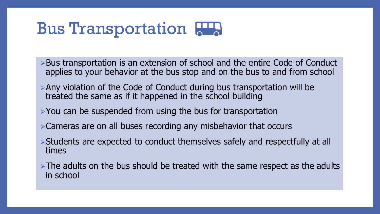## **Bus Transportation 222**

- ►Bus transportation is an extension of school and the entire Code of Conduct applies to your behavior at the bus stop and on the bus to and from school
- $\triangleright$  Any violation of the Code of Conduct during bus transportation will be treated the same as if it happened in the school building
- $\triangleright$  You can be suspended from using the bus for transportation
- ⮚Cameras are on all buses recording any misbehavior that occurs
- ⮚Students are expected to conduct themselves safely and respectfully at all times
- $\triangleright$ The adults on the bus should be treated with the same respect as the adults in school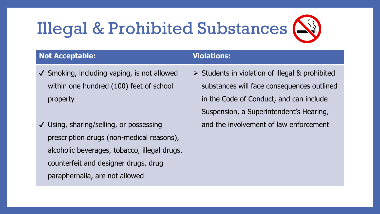# Illegal & Prohibited Substances



## **Not Acceptable: Violations:**

- ✔ Smoking, including vaping, is not allowed within one hundred (100) feet of school property
- ✔ Using, sharing/selling, or possessing prescription drugs (non-medical reasons), alcoholic beverages, tobacco, illegal drugs, counterfeit and designer drugs, drug paraphernalia, are not allowed

 $\triangleright$  Students in violation of illegal & prohibited substances will face consequences outlined in the Code of Conduct, and can include Suspension, a Superintendent's Hearing, and the involvement of law enforcement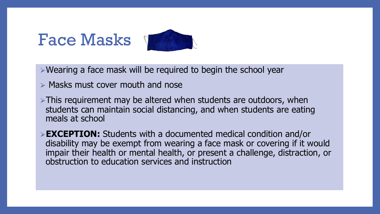## Face Masks



⮚Wearing a face mask will be required to begin the school year

 $\triangleright$  Masks must cover mouth and nose

 $\triangleright$ This requirement may be altered when students are outdoors, when students can maintain social distancing, and when students are eating meals at school

⮚**EXCEPTION:** Students with a documented medical condition and/or disability may be exempt from wearing a face mask or covering if it would impair their health or mental health, or present a challenge, distraction, or obstruction to education services and instruction